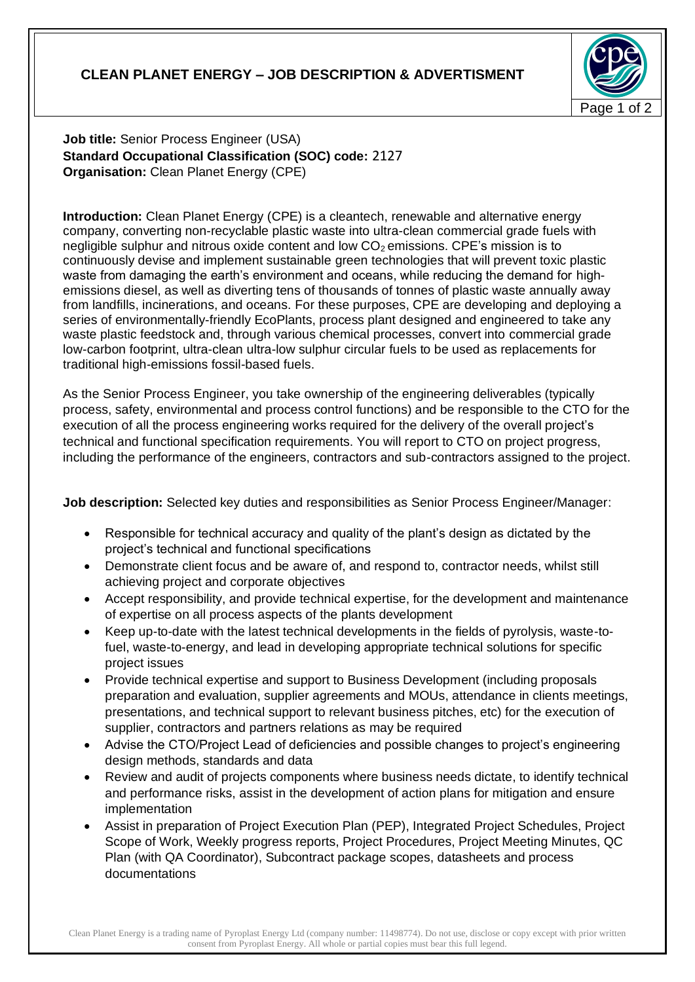## **CLEAN PLANET ENERGY – JOB DESCRIPTION & ADVERTISMENT**



**Job title:** Senior Process Engineer (USA) **Standard Occupational Classification (SOC) code:** 2127 **Organisation:** Clean Planet Energy (CPE)

**Introduction:** Clean Planet Energy (CPE) is a cleantech, renewable and alternative energy company, converting non-recyclable plastic waste into ultra-clean commercial grade fuels with negligible sulphur and nitrous oxide content and low  $CO<sub>2</sub>$  emissions. CPE's mission is to continuously devise and implement sustainable green technologies that will prevent toxic plastic waste from damaging the earth's environment and oceans, while reducing the demand for highemissions diesel, as well as diverting tens of thousands of tonnes of plastic waste annually away from landfills, incinerations, and oceans. For these purposes, CPE are developing and deploying a series of environmentally-friendly EcoPlants, process plant designed and engineered to take any waste plastic feedstock and, through various chemical processes, convert into commercial grade low-carbon footprint, ultra-clean ultra-low sulphur circular fuels to be used as replacements for traditional high-emissions fossil-based fuels.

As the Senior Process Engineer, you take ownership of the engineering deliverables (typically process, safety, environmental and process control functions) and be responsible to the CTO for the execution of all the process engineering works required for the delivery of the overall project's technical and functional specification requirements. You will report to CTO on project progress, including the performance of the engineers, contractors and sub-contractors assigned to the project.

**Job description:** Selected key duties and responsibilities as Senior Process Engineer/Manager:

- Responsible for technical accuracy and quality of the plant's design as dictated by the project's technical and functional specifications
- Demonstrate client focus and be aware of, and respond to, contractor needs, whilst still achieving project and corporate objectives
- Accept responsibility, and provide technical expertise, for the development and maintenance of expertise on all process aspects of the plants development
- Keep up-to-date with the latest technical developments in the fields of pyrolysis, waste-tofuel, waste-to-energy, and lead in developing appropriate technical solutions for specific project issues
- Provide technical expertise and support to Business Development (including proposals preparation and evaluation, supplier agreements and MOUs, attendance in clients meetings, presentations, and technical support to relevant business pitches, etc) for the execution of supplier, contractors and partners relations as may be required
- Advise the CTO/Project Lead of deficiencies and possible changes to project's engineering design methods, standards and data
- Review and audit of projects components where business needs dictate, to identify technical and performance risks, assist in the development of action plans for mitigation and ensure implementation
- Assist in preparation of Project Execution Plan (PEP), Integrated Project Schedules, Project Scope of Work, Weekly progress reports, Project Procedures, Project Meeting Minutes, QC Plan (with QA Coordinator), Subcontract package scopes, datasheets and process documentations